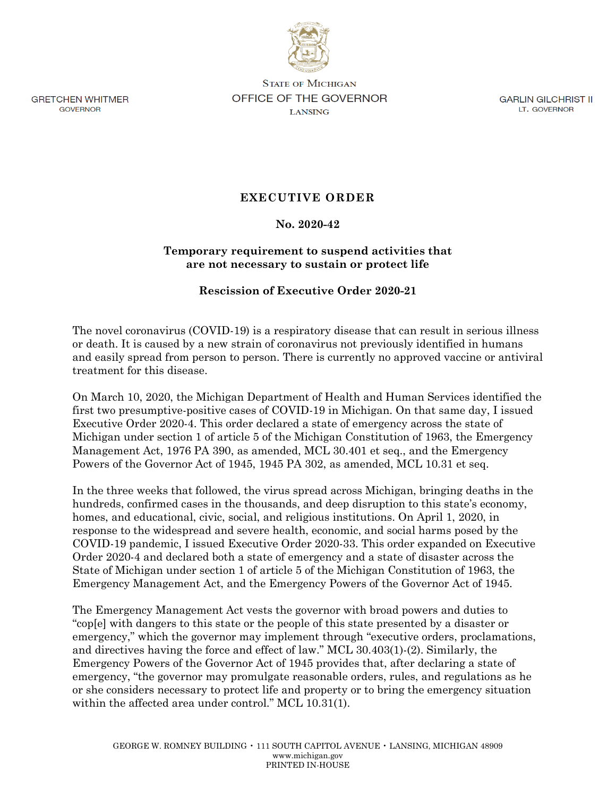

**GRETCHEN WHITMER GOVERNOR** 

**STATE OF MICHIGAN** OFFICE OF THE GOVERNOR **LANSING** 

**GARLIN GILCHRIST II** LT. GOVERNOR

# **EXECUTIVE ORDER**

### **No. 2020-42**

## **Temporary requirement to suspend activities that are not necessary to sustain or protect life**

## **Rescission of Executive Order 2020-21**

The novel coronavirus (COVID-19) is a respiratory disease that can result in serious illness or death. It is caused by a new strain of coronavirus not previously identified in humans and easily spread from person to person. There is currently no approved vaccine or antiviral treatment for this disease.

On March 10, 2020, the Michigan Department of Health and Human Services identified the first two presumptive-positive cases of COVID-19 in Michigan. On that same day, I issued Executive Order 2020-4. This order declared a state of emergency across the state of Michigan under section 1 of article 5 of the Michigan Constitution of 1963, the Emergency Management Act, 1976 PA 390, as amended, MCL 30.401 et seq., and the Emergency Powers of the Governor Act of 1945, 1945 PA 302, as amended, MCL 10.31 et seq.

In the three weeks that followed, the virus spread across Michigan, bringing deaths in the hundreds, confirmed cases in the thousands, and deep disruption to this state's economy, homes, and educational, civic, social, and religious institutions. On April 1, 2020, in response to the widespread and severe health, economic, and social harms posed by the COVID-19 pandemic, I issued Executive Order 2020-33. This order expanded on Executive Order 2020-4 and declared both a state of emergency and a state of disaster across the State of Michigan under section 1 of article 5 of the Michigan Constitution of 1963, the Emergency Management Act, and the Emergency Powers of the Governor Act of 1945.

The Emergency Management Act vests the governor with broad powers and duties to "cop[e] with dangers to this state or the people of this state presented by a disaster or emergency," which the governor may implement through "executive orders, proclamations, and directives having the force and effect of law." MCL 30.403(1)-(2). Similarly, the Emergency Powers of the Governor Act of 1945 provides that, after declaring a state of emergency, "the governor may promulgate reasonable orders, rules, and regulations as he or she considers necessary to protect life and property or to bring the emergency situation within the affected area under control." MCL 10.31(1).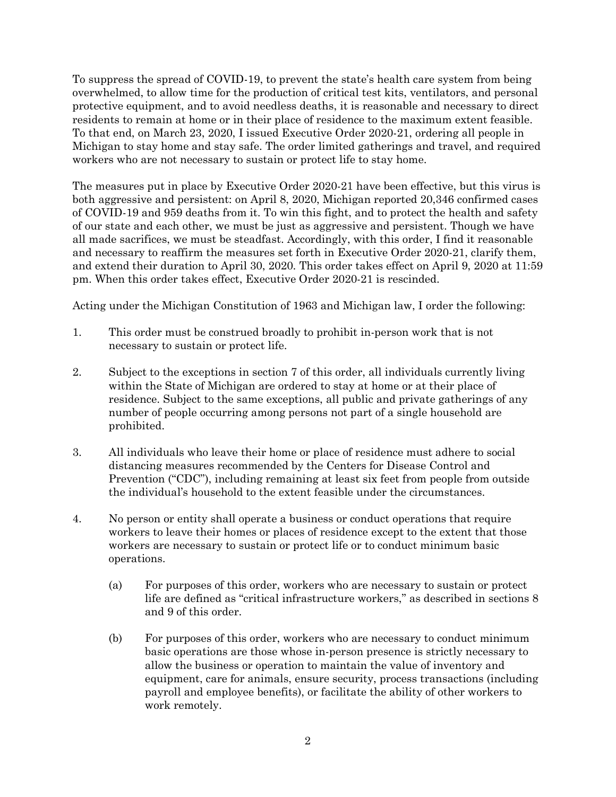To suppress the spread of COVID-19, to prevent the state's health care system from being overwhelmed, to allow time for the production of critical test kits, ventilators, and personal protective equipment, and to avoid needless deaths, it is reasonable and necessary to direct residents to remain at home or in their place of residence to the maximum extent feasible. To that end, on March 23, 2020, I issued Executive Order 2020-21, ordering all people in Michigan to stay home and stay safe. The order limited gatherings and travel, and required workers who are not necessary to sustain or protect life to stay home.

The measures put in place by Executive Order 2020-21 have been effective, but this virus is both aggressive and persistent: on April 8, 2020, Michigan reported 20,346 confirmed cases of COVID-19 and 959 deaths from it. To win this fight, and to protect the health and safety of our state and each other, we must be just as aggressive and persistent. Though we have all made sacrifices, we must be steadfast. Accordingly, with this order, I find it reasonable and necessary to reaffirm the measures set forth in Executive Order 2020-21, clarify them, and extend their duration to April 30, 2020. This order takes effect on April 9, 2020 at 11:59 pm. When this order takes effect, Executive Order 2020-21 is rescinded.

Acting under the Michigan Constitution of 1963 and Michigan law, I order the following:

- 1. This order must be construed broadly to prohibit in-person work that is not necessary to sustain or protect life.
- 2. Subject to the exceptions in section 7 of this order, all individuals currently living within the State of Michigan are ordered to stay at home or at their place of residence. Subject to the same exceptions, all public and private gatherings of any number of people occurring among persons not part of a single household are prohibited.
- 3. All individuals who leave their home or place of residence must adhere to social distancing measures recommended by the Centers for Disease Control and Prevention ("CDC"), including remaining at least six feet from people from outside the individual's household to the extent feasible under the circumstances.
- 4. No person or entity shall operate a business or conduct operations that require workers to leave their homes or places of residence except to the extent that those workers are necessary to sustain or protect life or to conduct minimum basic operations.
	- (a) For purposes of this order, workers who are necessary to sustain or protect life are defined as "critical infrastructure workers," as described in sections 8 and 9 of this order.
	- (b) For purposes of this order, workers who are necessary to conduct minimum basic operations are those whose in-person presence is strictly necessary to allow the business or operation to maintain the value of inventory and equipment, care for animals, ensure security, process transactions (including payroll and employee benefits), or facilitate the ability of other workers to work remotely.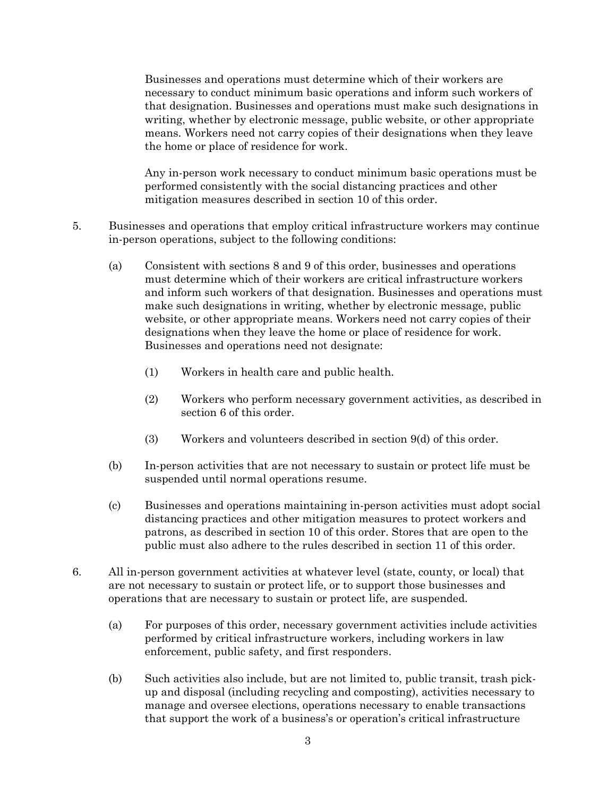Businesses and operations must determine which of their workers are necessary to conduct minimum basic operations and inform such workers of that designation. Businesses and operations must make such designations in writing, whether by electronic message, public website, or other appropriate means. Workers need not carry copies of their designations when they leave the home or place of residence for work.

Any in-person work necessary to conduct minimum basic operations must be performed consistently with the social distancing practices and other mitigation measures described in section 10 of this order.

- 5. Businesses and operations that employ critical infrastructure workers may continue in-person operations, subject to the following conditions:
	- (a) Consistent with sections 8 and 9 of this order, businesses and operations must determine which of their workers are critical infrastructure workers and inform such workers of that designation. Businesses and operations must make such designations in writing, whether by electronic message, public website, or other appropriate means. Workers need not carry copies of their designations when they leave the home or place of residence for work. Businesses and operations need not designate:
		- (1) Workers in health care and public health.
		- (2) Workers who perform necessary government activities, as described in section 6 of this order.
		- (3) Workers and volunteers described in section 9(d) of this order.
	- (b) In-person activities that are not necessary to sustain or protect life must be suspended until normal operations resume.
	- (c) Businesses and operations maintaining in-person activities must adopt social distancing practices and other mitigation measures to protect workers and patrons, as described in section 10 of this order. Stores that are open to the public must also adhere to the rules described in section 11 of this order.
- 6. All in-person government activities at whatever level (state, county, or local) that are not necessary to sustain or protect life, or to support those businesses and operations that are necessary to sustain or protect life, are suspended.
	- (a) For purposes of this order, necessary government activities include activities performed by critical infrastructure workers, including workers in law enforcement, public safety, and first responders.
	- (b) Such activities also include, but are not limited to, public transit, trash pickup and disposal (including recycling and composting), activities necessary to manage and oversee elections, operations necessary to enable transactions that support the work of a business's or operation's critical infrastructure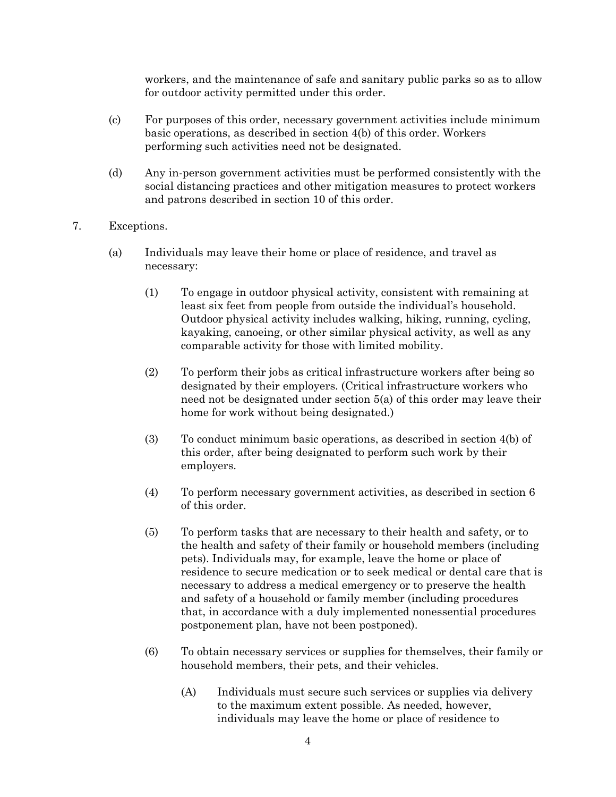workers, and the maintenance of safe and sanitary public parks so as to allow for outdoor activity permitted under this order.

- (c) For purposes of this order, necessary government activities include minimum basic operations, as described in section 4(b) of this order. Workers performing such activities need not be designated.
- (d) Any in-person government activities must be performed consistently with the social distancing practices and other mitigation measures to protect workers and patrons described in section 10 of this order.
- 7. Exceptions.
	- (a) Individuals may leave their home or place of residence, and travel as necessary:
		- (1) To engage in outdoor physical activity, consistent with remaining at least six feet from people from outside the individual's household. Outdoor physical activity includes walking, hiking, running, cycling, kayaking, canoeing, or other similar physical activity, as well as any comparable activity for those with limited mobility.
		- (2) To perform their jobs as critical infrastructure workers after being so designated by their employers. (Critical infrastructure workers who need not be designated under section 5(a) of this order may leave their home for work without being designated.)
		- (3) To conduct minimum basic operations, as described in section 4(b) of this order, after being designated to perform such work by their employers.
		- (4) To perform necessary government activities, as described in section 6 of this order.
		- (5) To perform tasks that are necessary to their health and safety, or to the health and safety of their family or household members (including pets). Individuals may, for example, leave the home or place of residence to secure medication or to seek medical or dental care that is necessary to address a medical emergency or to preserve the health and safety of a household or family member (including procedures that, in accordance with a duly implemented nonessential procedures postponement plan, have not been postponed).
		- (6) To obtain necessary services or supplies for themselves, their family or household members, their pets, and their vehicles.
			- (A) Individuals must secure such services or supplies via delivery to the maximum extent possible. As needed, however, individuals may leave the home or place of residence to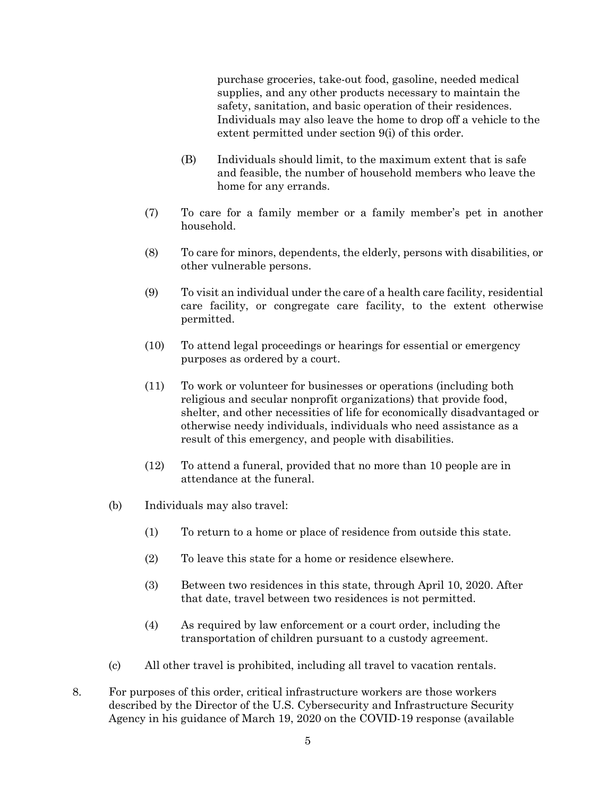purchase groceries, take-out food, gasoline, needed medical supplies, and any other products necessary to maintain the safety, sanitation, and basic operation of their residences. Individuals may also leave the home to drop off a vehicle to the extent permitted under section 9(i) of this order.

- (B) Individuals should limit, to the maximum extent that is safe and feasible, the number of household members who leave the home for any errands.
- (7) To care for a family member or a family member's pet in another household.
- (8) To care for minors, dependents, the elderly, persons with disabilities, or other vulnerable persons.
- (9) To visit an individual under the care of a health care facility, residential care facility, or congregate care facility, to the extent otherwise permitted.
- (10) To attend legal proceedings or hearings for essential or emergency purposes as ordered by a court.
- (11) To work or volunteer for businesses or operations (including both religious and secular nonprofit organizations) that provide food, shelter, and other necessities of life for economically disadvantaged or otherwise needy individuals, individuals who need assistance as a result of this emergency, and people with disabilities.
- (12) To attend a funeral, provided that no more than 10 people are in attendance at the funeral.
- (b) Individuals may also travel:
	- (1) To return to a home or place of residence from outside this state.
	- (2) To leave this state for a home or residence elsewhere.
	- (3) Between two residences in this state, through April 10, 2020. After that date, travel between two residences is not permitted.
	- (4) As required by law enforcement or a court order, including the transportation of children pursuant to a custody agreement.
- (c) All other travel is prohibited, including all travel to vacation rentals.
- 8. For purposes of this order, critical infrastructure workers are those workers described by the Director of the U.S. Cybersecurity and Infrastructure Security Agency in his guidance of March 19, 2020 on the COVID-19 response (available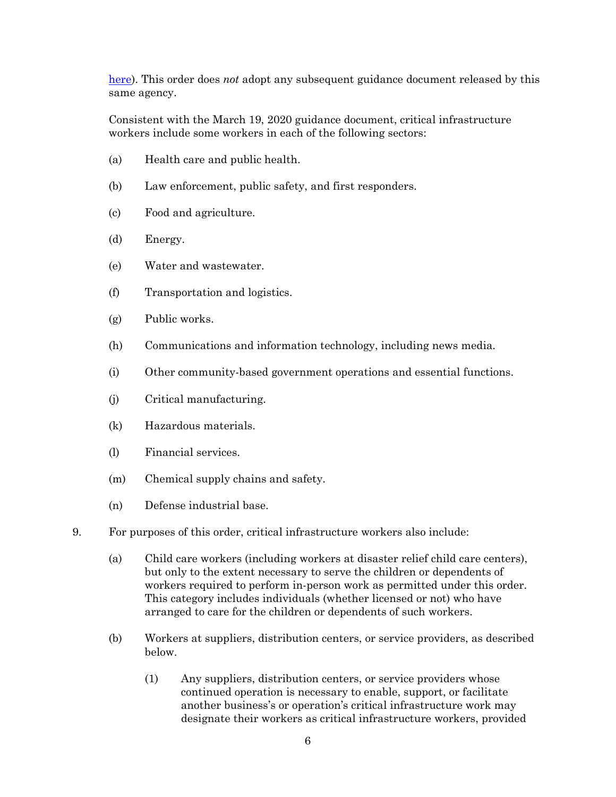[here\)](https://www.cisa.gov/sites/default/files/publications/CISA-Guidance-on-Essential-Critical-Infrastructure-Workers-1-20-508c.pdf). This order does *not* adopt any subsequent guidance document released by this same agency.

Consistent with the March 19, 2020 guidance document, critical infrastructure workers include some workers in each of the following sectors:

- (a) Health care and public health.
- (b) Law enforcement, public safety, and first responders.
- (c) Food and agriculture.
- (d) Energy.
- (e) Water and wastewater.
- (f) Transportation and logistics.
- (g) Public works.
- (h) Communications and information technology, including news media.
- (i) Other community-based government operations and essential functions.
- (j) Critical manufacturing.
- (k) Hazardous materials.
- (l) Financial services.
- (m) Chemical supply chains and safety.
- (n) Defense industrial base.
- 9. For purposes of this order, critical infrastructure workers also include:
	- (a) Child care workers (including workers at disaster relief child care centers), but only to the extent necessary to serve the children or dependents of workers required to perform in-person work as permitted under this order. This category includes individuals (whether licensed or not) who have arranged to care for the children or dependents of such workers.
	- (b) Workers at suppliers, distribution centers, or service providers, as described below.
		- (1) Any suppliers, distribution centers, or service providers whose continued operation is necessary to enable, support, or facilitate another business's or operation's critical infrastructure work may designate their workers as critical infrastructure workers, provided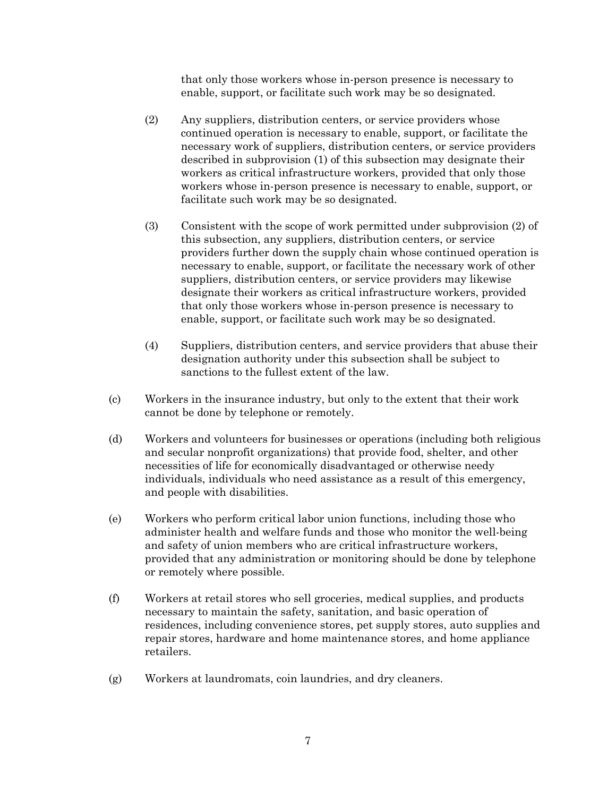that only those workers whose in-person presence is necessary to enable, support, or facilitate such work may be so designated.

- (2) Any suppliers, distribution centers, or service providers whose continued operation is necessary to enable, support, or facilitate the necessary work of suppliers, distribution centers, or service providers described in subprovision (1) of this subsection may designate their workers as critical infrastructure workers, provided that only those workers whose in-person presence is necessary to enable, support, or facilitate such work may be so designated.
- (3) Consistent with the scope of work permitted under subprovision (2) of this subsection, any suppliers, distribution centers, or service providers further down the supply chain whose continued operation is necessary to enable, support, or facilitate the necessary work of other suppliers, distribution centers, or service providers may likewise designate their workers as critical infrastructure workers, provided that only those workers whose in-person presence is necessary to enable, support, or facilitate such work may be so designated.
- (4) Suppliers, distribution centers, and service providers that abuse their designation authority under this subsection shall be subject to sanctions to the fullest extent of the law.
- (c) Workers in the insurance industry, but only to the extent that their work cannot be done by telephone or remotely.
- (d) Workers and volunteers for businesses or operations (including both religious and secular nonprofit organizations) that provide food, shelter, and other necessities of life for economically disadvantaged or otherwise needy individuals, individuals who need assistance as a result of this emergency, and people with disabilities.
- (e) Workers who perform critical labor union functions, including those who administer health and welfare funds and those who monitor the well-being and safety of union members who are critical infrastructure workers, provided that any administration or monitoring should be done by telephone or remotely where possible.
- (f) Workers at retail stores who sell groceries, medical supplies, and products necessary to maintain the safety, sanitation, and basic operation of residences, including convenience stores, pet supply stores, auto supplies and repair stores, hardware and home maintenance stores, and home appliance retailers.
- (g) Workers at laundromats, coin laundries, and dry cleaners.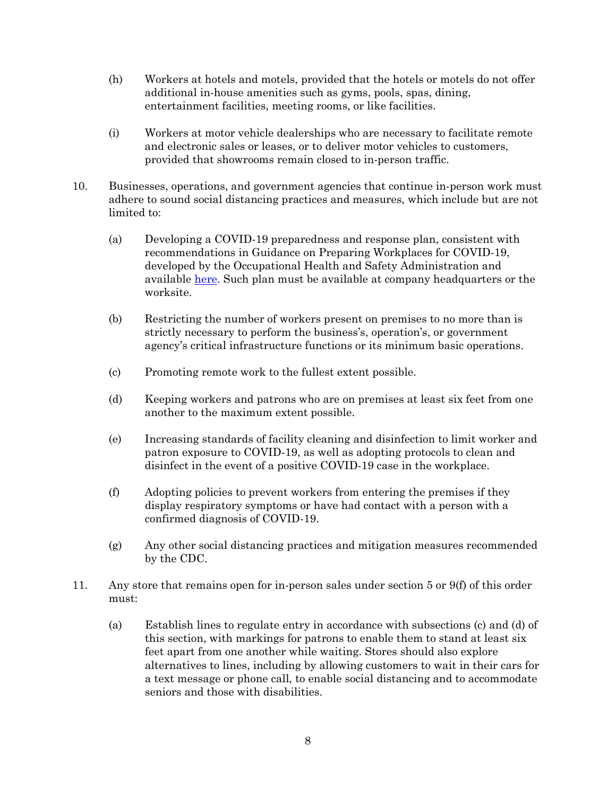- (h) Workers at hotels and motels, provided that the hotels or motels do not offer additional in-house amenities such as gyms, pools, spas, dining, entertainment facilities, meeting rooms, or like facilities.
- (i) Workers at motor vehicle dealerships who are necessary to facilitate remote and electronic sales or leases, or to deliver motor vehicles to customers, provided that showrooms remain closed to in-person traffic.
- 10. Businesses, operations, and government agencies that continue in-person work must adhere to sound social distancing practices and measures, which include but are not limited to:
	- (a) Developing a COVID-19 preparedness and response plan, consistent with recommendations in Guidance on Preparing Workplaces for COVID-19, developed by the Occupational Health and Safety Administration and available [here.](https://www.osha.gov/Publications/OSHA3990.pdf) Such plan must be available at company headquarters or the worksite.
	- (b) Restricting the number of workers present on premises to no more than is strictly necessary to perform the business's, operation's, or government agency's critical infrastructure functions or its minimum basic operations.
	- (c) Promoting remote work to the fullest extent possible.
	- (d) Keeping workers and patrons who are on premises at least six feet from one another to the maximum extent possible.
	- (e) Increasing standards of facility cleaning and disinfection to limit worker and patron exposure to COVID-19, as well as adopting protocols to clean and disinfect in the event of a positive COVID-19 case in the workplace.
	- (f) Adopting policies to prevent workers from entering the premises if they display respiratory symptoms or have had contact with a person with a confirmed diagnosis of COVID-19.
	- (g) Any other social distancing practices and mitigation measures recommended by the CDC.
- 11. Any store that remains open for in-person sales under section 5 or 9(f) of this order must:
	- (a) Establish lines to regulate entry in accordance with subsections (c) and (d) of this section, with markings for patrons to enable them to stand at least six feet apart from one another while waiting. Stores should also explore alternatives to lines, including by allowing customers to wait in their cars for a text message or phone call, to enable social distancing and to accommodate seniors and those with disabilities.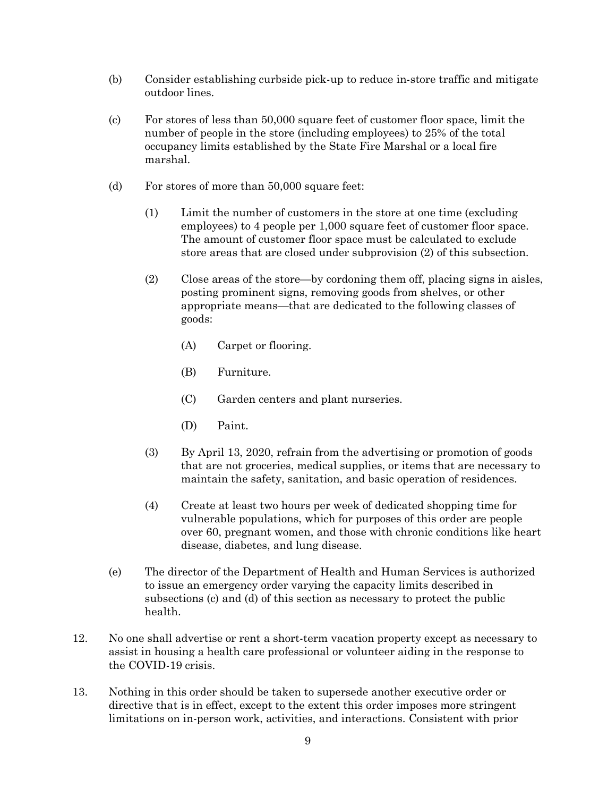- (b) Consider establishing curbside pick-up to reduce in-store traffic and mitigate outdoor lines.
- (c) For stores of less than 50,000 square feet of customer floor space, limit the number of people in the store (including employees) to 25% of the total occupancy limits established by the State Fire Marshal or a local fire marshal.
- (d) For stores of more than 50,000 square feet:
	- (1) Limit the number of customers in the store at one time (excluding employees) to 4 people per 1,000 square feet of customer floor space. The amount of customer floor space must be calculated to exclude store areas that are closed under subprovision (2) of this subsection.
	- (2) Close areas of the store—by cordoning them off, placing signs in aisles, posting prominent signs, removing goods from shelves, or other appropriate means—that are dedicated to the following classes of goods:
		- (A) Carpet or flooring.
		- (B) Furniture.
		- (C) Garden centers and plant nurseries.
		- (D) Paint.
	- (3) By April 13, 2020, refrain from the advertising or promotion of goods that are not groceries, medical supplies, or items that are necessary to maintain the safety, sanitation, and basic operation of residences.
	- (4) Create at least two hours per week of dedicated shopping time for vulnerable populations, which for purposes of this order are people over 60, pregnant women, and those with chronic conditions like heart disease, diabetes, and lung disease.
- (e) The director of the Department of Health and Human Services is authorized to issue an emergency order varying the capacity limits described in subsections (c) and (d) of this section as necessary to protect the public health.
- 12. No one shall advertise or rent a short-term vacation property except as necessary to assist in housing a health care professional or volunteer aiding in the response to the COVID-19 crisis.
- 13. Nothing in this order should be taken to supersede another executive order or directive that is in effect, except to the extent this order imposes more stringent limitations on in-person work, activities, and interactions. Consistent with prior